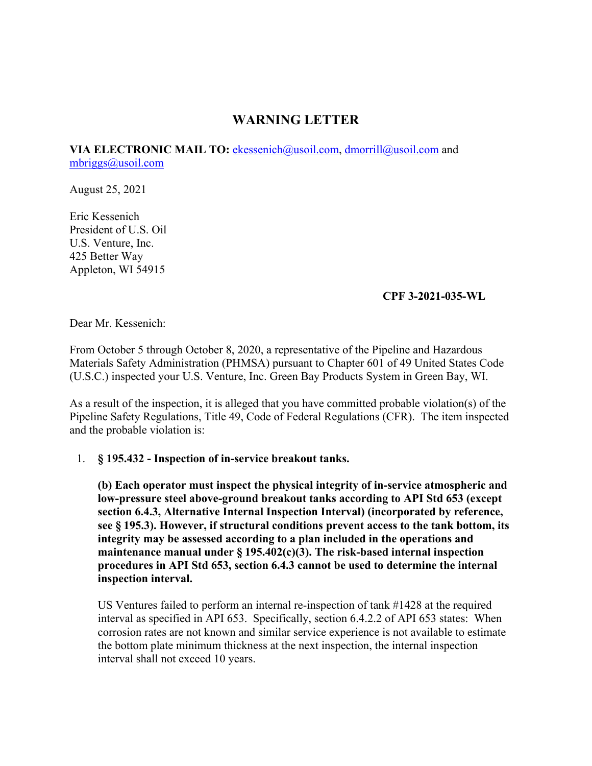## **WARNING LETTER**

[mbriggs@usoil.com](mailto:mbriggs@usoil.com)<br>August 25, 2021 **VIA ELECTRONIC MAIL TO:** [ekessenich@usoil.com,](mailto:ekessenich@usoil.com) [dmorrill@usoil.com](mailto:dmorrill@usoil.com) and

Eric Kessenich President of U.S. Oil U.S. Venture, Inc. 425 Better Way Appleton, WI 54915

## **CPF 3-2021-035-WL**

Dear Mr. Kessenich:

From October 5 through October 8, 2020, a representative of the Pipeline and Hazardous Materials Safety Administration (PHMSA) pursuant to Chapter 601 of 49 United States Code (U.S.C.) inspected your U.S. Venture, Inc. Green Bay Products System in Green Bay, WI.

As a result of the inspection, it is alleged that you have committed probable violation(s) of the Pipeline Safety Regulations, Title 49, Code of Federal Regulations (CFR). The item inspected and the probable violation is:

## 1. **§ 195.432 - Inspection of in-service breakout tanks.**

**(b) Each operator must inspect the physical integrity of in-service atmospheric and low-pressure steel above-ground breakout tanks according to API Std 653 (except section 6.4.3, Alternative Internal Inspection Interval) (incorporated by reference, see § 195.3). However, if structural conditions prevent access to the tank bottom, its integrity may be assessed according to a plan included in the operations and maintenance manual under § 195.402(c)(3). The risk-based internal inspection procedures in API Std 653, section 6.4.3 cannot be used to determine the internal inspection interval.** 

US Ventures failed to perform an internal re-inspection of tank #1428 at the required interval as specified in API 653. Specifically, section 6.4.2.2 of API 653 states: When corrosion rates are not known and similar service experience is not available to estimate the bottom plate minimum thickness at the next inspection, the internal inspection interval shall not exceed 10 years.